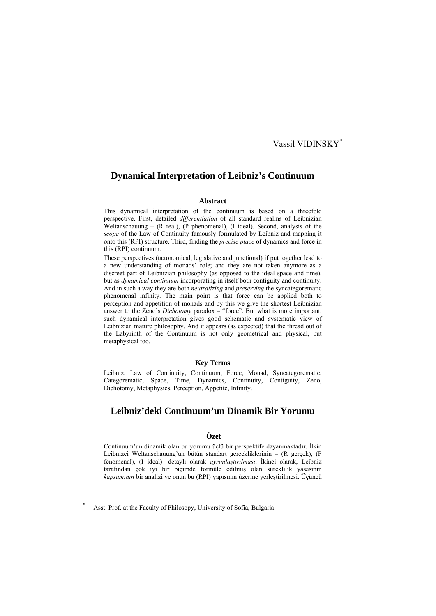## Vassil VIDINSKY\*

## **Dynamical Interpretation of Leibniz's Continuum**

### **Abstract**

This dynamical interpretation of the continuum is based on a threefold perspective. First, detailed *differentiation* of all standard realms of Leibnizian Weltanschauung – (R real), (P phenomenal), (I ideal). Second, analysis of the *scope* of the Law of Continuity famously formulated by Leibniz and mapping it onto this (RPI) structure. Third, finding the *precise place* of dynamics and force in this (RPI) continuum.

These perspectives (taxonomical, legislative and junctional) if put together lead to a new understanding of monads' role; and they are not taken anymore as a discreet part of Leibnizian philosophy (as opposed to the ideal space and time), but as *dynamical continuum* incorporating in itself both contiguity and continuity. And in such a way they are both *neutralizing* and *preserving* the syncategorematic phenomenal infinity. The main point is that force can be applied both to perception and appetition of monads and by this we give the shortest Leibnizian answer to the Zeno's *Dichotomy* paradox – "force". But what is more important, such dynamical interpretation gives good schematic and systematic view of Leibnizian mature philosophy. And it appears (as expected) that the thread out of the Labyrinth of the Continuum is not only geometrical and physical, but metaphysical too.

### **Key Terms**

Leibniz, Law of Continuity, Continuum, Force, Monad, Syncategorematic, Categorematic, Space, Time, Dynamics, Continuity, Contiguity, Zeno, Dichotomy, Metaphysics, Perception, Appetite, Infinity.

## **Leibniz'deki Continuum'un Dinamik Bir Yorumu**

## **Özet**

Continuum'un dinamik olan bu yorumu üçlü bir perspektife dayanmaktadır. İlkin Leibnizci Weltanschauung'un bütün standart gerçekliklerinin – (R gerçek), (P fenomenal), (I ideal)- detaylı olarak *ayrımlaştırılması*. İkinci olarak, Leibniz tarafından çok iyi bir biçimde formüle edilmiş olan süreklilik yasasının *kapsamının* bir analizi ve onun bu (RPI) yapısının üzerine yerleştirilmesi. Üçüncü

Asst. Prof. at the Faculty of Philosopy, University of Sofia, Bulgaria.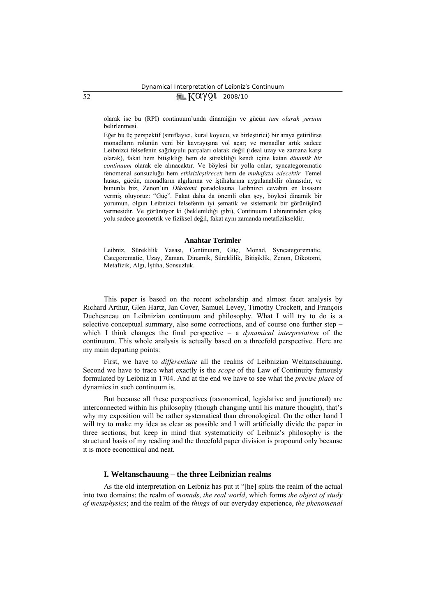# $52$   $\sqrt{2Q\gamma Q1}$  2008/10

olarak ise bu (RPI) continuum'unda dinamiğin ve gücün *tam olarak yerinin* belirlenmesi.

Eğer bu üç perspektif (sınıflayıcı, kural koyucu, ve birleştirici) bir araya getirilirse monadların rolünün yeni bir kavrayışına yol açar; ve monadlar artık sadece Leibnizci felsefenin sağduyulu parçaları olarak değil (ideal uzay ve zamana karşı olarak), fakat hem bitişikliği hem de sürekliliği kendi içine katan *dinamik bir continuum* olarak ele alınacaktır. Ve böylesi bir yolla onlar, syncategorematic fenomenal sonsuzluğu hem *etkisizleştirecek* hem de *muhafaza edecektir.* Temel husus, gücün, monadların algılarına ve iştihalarına uygulanabilir olmasıdır, ve bununla biz, Zenon'un *Dikotomi* paradoksuna Leibnizci cevabın en kısasını vermiş oluyoruz: "Güç". Fakat daha da önemli olan şey, böylesi dinamik bir yorumun, olgun Leibnizci felsefenin iyi şematik ve sistematik bir görünüşünü vermesidir. Ve görünüyor ki (beklenildiği gibi), Continuum Labirentinden çıkış yolu sadece geometrik ve fiziksel değil, fakat aynı zamanda metafizikseldir.

#### **Anahtar Terimler**

Leibniz, Süreklilik Yasası, Continuum, Güç, Monad, Syncategorematic, Categorematic, Uzay, Zaman, Dinamik, Süreklilik, Bitişiklik, Zenon, Dikotomi, Metafizik, Algı, İştiha, Sonsuzluk.

This paper is based on the recent scholarship and almost facet analysis by Richard Arthur, Glen Hartz, Jan Cover, Samuel Levey, Timothy Crockett, and François Duchesneau on Leibnizian continuum and philosophy. What I will try to do is a selective conceptual summary, also some corrections, and of course one further step – which I think changes the final perspective – a *dynamical interpretation* of the continuum. This whole analysis is actually based on a threefold perspective. Here are my main departing points:

First, we have to *differentiate* all the realms of Leibnizian Weltanschauung. Second we have to trace what exactly is the *scope* of the Law of Continuity famously formulated by Leibniz in 1704. And at the end we have to see what the *precise place* of dynamics in such continuum is.

But because all these perspectives (taxonomical, legislative and junctional) are interconnected within his philosophy (though changing until his mature thought), that's why my exposition will be rather systematical than chronological. On the other hand I will try to make my idea as clear as possible and I will artificially divide the paper in three sections; but keep in mind that systematicity of Leibniz's philosophy is the structural basis of my reading and the threefold paper division is propound only because it is more economical and neat.

### **I. Weltanschauung – the three Leibnizian realms**

As the old interpretation on Leibniz has put it "[he] splits the realm of the actual into two domains: the realm of *monads*, *the real world*, which forms *the object of study of metaphysics*; and the realm of the *things* of our everyday experience, *the phenomenal*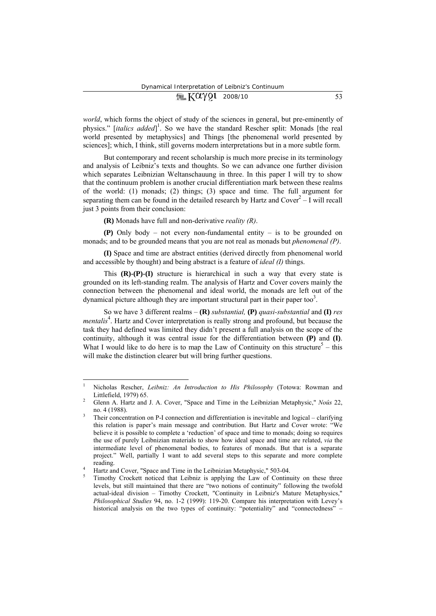# $\sqrt{2\pi K}$   $X \alpha \gamma$  91 2008/10 53

*world*, which forms the object of study of the sciences in general, but pre-eminently of physics." [*italics added*] 1 . So we have the standard Rescher split: Monads [the real world presented by metaphysics] and Things [the phenomenal world presented by sciences]; which, I think, still governs modern interpretations but in a more subtle form.

But contemporary and recent scholarship is much more precise in its terminology and analysis of Leibniz's texts and thoughts. So we can advance one further division which separates Leibnizian Weltanschauung in three. In this paper I will try to show that the continuum problem is another crucial differentiation mark between these realms of the world: (1) monads; (2) things; (3) space and time. The full argument for separating them can be found in the detailed research by Hartz and  $Cover<sup>2</sup> - I$  will recall just 3 points from their conclusion:

**(R)** Monads have full and non-derivative *reality (R)*.

**(P)** Only body – not every non-fundamental entity – is to be grounded on monads; and to be grounded means that you are not real as monads but *phenomenal (P)*.

**(I)** Space and time are abstract entities (derived directly from phenomenal world and accessible by thought) and being abstract is a feature of *ideal (I)* things.

This **(R)-(P)-(I)** structure is hierarchical in such a way that every state is grounded on its left-standing realm. The analysis of Hartz and Cover covers mainly the connection between the phenomenal and ideal world, the monads are left out of the dynamical picture although they are important structural part in their paper too<sup>3</sup>.

So we have 3 different realms – **(R)** *substantial,* **(P)** *quasi-substantial* and **(I)** *res mentalis*<sup>4</sup>. Hartz and Cover interpretation is really strong and profound, but because the task they had defined was limited they didn't present a full analysis on the scope of the continuity, although it was central issue for the differentiation between **(P)** and **(I)**. What I would like to do here is to map the Law of Continuity on this structure<sup>5</sup> – this will make the distinction clearer but will bring further questions.

<sup>1</sup> Nicholas Rescher, *Leibniz: An Introduction to His Philosophy* (Totowa: Rowman and Littlefield, 1979) 65. 2

Glenn A. Hartz and J. A. Cover, "Space and Time in the Leibnizian Metaphysic," *Noûs* 22, no. 4 (1988). 3

Their concentration on P-I connection and differentiation is inevitable and logical – clarifying this relation is paper's main message and contribution. But Hartz and Cover wrote: "We believe it is possible to complete a 'reduction' of space and time to monads; doing so requires the use of purely Leibnizian materials to show how ideal space and time are related, *via* the intermediate level of phenomenal bodies, to features of monads. But that is a separate project." Well, partially I want to add several steps to this separate and more complete reading.

Hartz and Cover, "Space and Time in the Leibnizian Metaphysic," 503-04.

Timothy Crockett noticed that Leibniz is applying the Law of Continuity on these three levels, but still maintained that there are "two notions of continuity" following the twofold actual-ideal division – Timothy Crockett, "Continuity in Leibniz's Mature Metaphysics," *Philosophical Studies* 94, no. 1-2 (1999): 119-20. Compare his interpretation with Levey's historical analysis on the two types of continuity: "potentiality" and "connectedness" –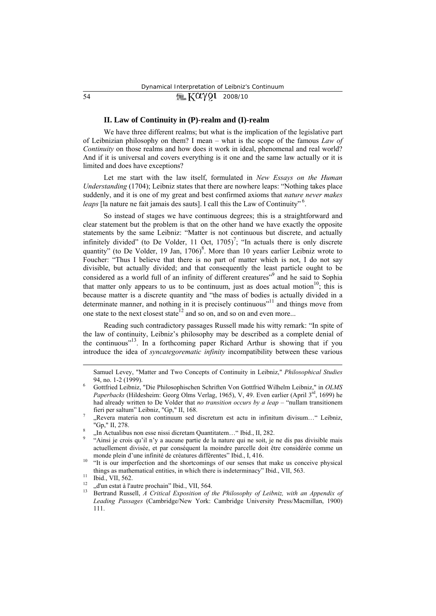## 54 **IF KOYOU** 2008/10

### **II. Law of Continuity in (P)-realm and (I)-realm**

We have three different realms; but what is the implication of the legislative part of Leibnizian philosophy on them? I mean – what is the scope of the famous *Law of Continuity* on those realms and how does it work in ideal, phenomenal and real world? And if it is universal and covers everything is it one and the same law actually or it is limited and does have exceptions?

Let me start with the law itself, formulated in *New Essays on the Human Understanding* (1704); Leibniz states that there are nowhere leaps: "Nothing takes place suddenly, and it is one of my great and best confirmed axioms that *nature never makes leaps* [la nature ne fait jamais des sauts]. I call this the Law of Continuity"<sup>6</sup>.

So instead of stages we have continuous degrees; this is a straightforward and clear statement but the problem is that on the other hand we have exactly the opposite statements by the same Leibniz: "Matter is not continuous but discrete, and actually infinitely divided" (to De Volder, 11 Oct,  $1705$ )<sup>7</sup>; "In actuals there is only discrete quantity" (to De Volder, 19 Jan, 1706)<sup>8</sup>. More than 10 years earlier Leibniz wrote to Foucher: "Thus I believe that there is no part of matter which is not, I do not say divisible, but actually divided; and that consequently the least particle ought to be considered as a world full of an infinity of different creatures"<sup>9</sup> and he said to Sophia that matter only appears to us to be continuum, just as does actual motion<sup>10</sup>; this is because matter is a discrete quantity and "the mass of bodies is actually divided in a determinate manner, and nothing in it is precisely continuous"11 and things move from one state to the next closest state<sup>12</sup> and so on, and so on and even more...

Reading such contradictory passages Russell made his witty remark: "In spite of the law of continuity, Leibniz's philosophy may be described as a complete denial of the continuous"13. In a forthcoming paper Richard Arthur is showing that if you introduce the idea of *syncategorematic infinity* incompatibility between these various

Samuel Levey, "Matter and Two Concepts of Continuity in Leibniz," *Philosophical Studies* 94, no. 1-2 (1999). 6

Gottfried Leibniz, "Die Philosophischen Schriften Von Gottfried Wilhelm Leibniz," in *OLMS*  Paperbacks (Hildesheim: Georg Olms Verlag, 1965), V, 49. Even earlier (April 3<sup>rd</sup>, 1699) he had already written to De Volder that *no transition occurs by a leap –* "nullam transitionem fieri per saltum" Leibniz, "Gp," II, 168.

 <sup>&</sup>quot;Revera materia non continuum sed discretum est actu in infinitum divisum…" Leibniz, "Gp," II, 278.

<sup>&</sup>lt;sup>8</sup>, In Actualibus non esse nissi dicretam Quantitatem... "Ibid., II, 282.<br>"Ainsi je crois qu'il n'y a aucune partie de la nature qui ne soit, je ne dis pas divisible mais actuellement divisée, et par conséquent la moindre parcelle doit être considérée comme un monde plein d'une infinité de créatures différentes" Ibid., I, 416.<br><sup>10</sup> "It is our imperfection and the shortcomings of our senses that make us conceive physical

things as mathematical entities, in which there is indeterminacy" Ibid., VII, 563.<br>  $\frac{11}{12}$  Ibid., VII, 562.

<sup>&</sup>lt;sup>12</sup>  $\ldots$ , d'un estat à l'autre prochain" Ibid., VII, 564.<br><sup>13</sup> Bertrand Russell, *A Critical Exposition of the Philosophy of Leibniz, with an Appendix of Leading Passages* (Cambridge/New York: Cambridge University Press/Macmillan, 1900) 111.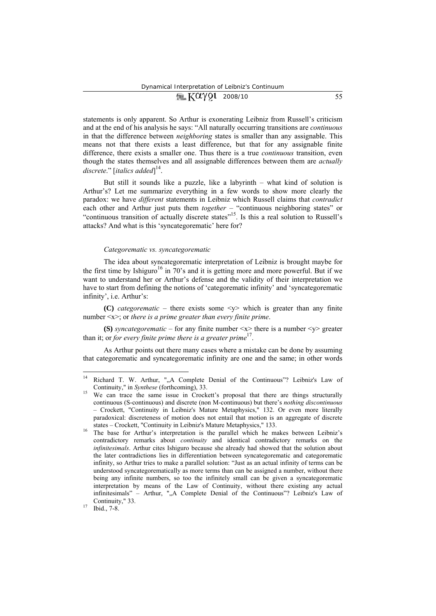## $\sqrt{2}$   $K\alpha$   $\gamma$   $\Omega$  2008/10 55

statements is only apparent. So Arthur is exonerating Leibniz from Russell's criticism and at the end of his analysis he says: "All naturally occurring transitions are *continuous* in that the difference between *neighboring* states is smaller than any assignable. This means not that there exists a least difference, but that for any assignable finite difference, there exists a smaller one. Thus there is a true *continuous* transition, even though the states themselves and all assignable differences between them are *actually discrete*." [*italics added*] 14.

But still it sounds like a puzzle, like a labyrinth – what kind of solution is Arthur's? Let me summarize everything in a few words to show more clearly the paradox: we have *different* statements in Leibniz which Russell claims that *contradict* each other and Arthur just puts them *together* – "continuous neighboring states" or "continuous transition of actually discrete states"<sup>15</sup>. Is this a real solution to Russell's attacks? And what is this 'syncategorematic' here for?

#### *Categorematic vs. syncategorematic*

The idea about syncategorematic interpretation of Leibniz is brought maybe for the first time by Ishiguro<sup>16</sup> in  $70$ 's and it is getting more and more powerful. But if we want to understand her or Arthur's defense and the validity of their interpretation we have to start from defining the notions of 'categorematic infinity' and 'syncategorematic infinity', i.e. Arthur's:

**(C)** *categorematic* – there exists some  $\langle v \rangle$  which is greater than any finite number <x>; or *there is a prime greater than every finite prime*.

**(S)** *syncategorematic* – for any finite number  $\langle x \rangle$  there is a number  $\langle y \rangle$  greater than it; or *for every finite prime there is a greater prime*17.

As Arthur points out there many cases where a mistake can be done by assuming that categorematic and syncategorematic infinity are one and the same; in other words

<sup>&</sup>lt;sup>14</sup> Richard T. W. Arthur, ",A Complete Denial of the Continuous"? Leibniz's Law of Continuity," in *Synthese* (forthcoming), 33.<br><sup>15</sup> We can trace the same issue in Crockett's proposal that there are things structurally

continuous (S-continuous) and discrete (non M-continuous) but there's *nothing discontinuous* – Crockett, "Continuity in Leibniz's Mature Metaphysics," 132. Or even more literally paradoxical: discreteness of motion does not entail that motion is an aggregate of discrete

states – Crockett, "Continuity in Leibniz's Mature Metaphysics," 133. 16 The base for Arthur's interpretation is the parallel which he makes between Leibniz's contradictory remarks about *continuity* and identical contradictory remarks on the *infinitesimals*. Arthur cites Ishiguro because she already had showed that the solution about the later contradictions lies in differentiation between syncategorematic and categorematic infinity, so Arthur tries to make a parallel solution: "Just as an actual infinity of terms can be understood syncategorematically as more terms than can be assigned a number, without there being any infinite numbers, so too the infinitely small can be given a syncategorematic interpretation by means of the Law of Continuity, without there existing any actual infinitesimals" – Arthur, ""A Complete Denial of the Continuous"? Leibniz's Law of Continuity," 33.<br>
<sup>17</sup> Ibid., 7-8.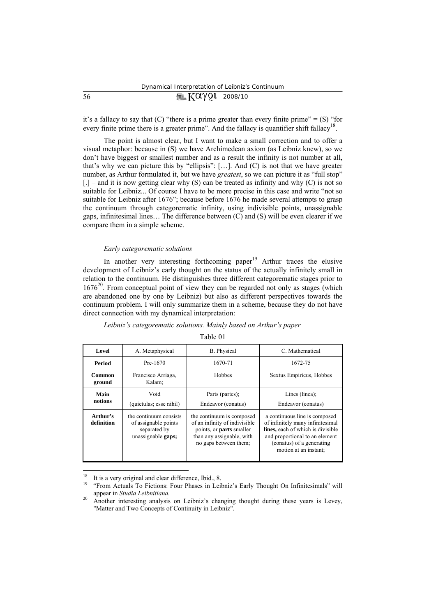it's a fallacy to say that  $(C)$  "there is a prime greater than every finite prime" =  $(S)$  "for every finite prime there is a greater prime". And the fallacy is quantifier shift fallacy<sup>18</sup>.

The point is almost clear, but I want to make a small correction and to offer a visual metaphor: because in (S) we have Archimedean axiom (as Leibniz knew), so we don't have biggest or smallest number and as a result the infinity is not number at all, that's why we can picture this by "ellipsis":  $[\dots]$ . And  $(C)$  is not that we have greater number, as Arthur formulated it, but we have *greatest*, so we can picture it as "full stop"  $[0.1]$  – and it is now getting clear why (S) can be treated as infinity and why (C) is not so suitable for Leibniz... Of course I have to be more precise in this case and write "not so suitable for Leibniz after 1676"; because before 1676 he made several attempts to grasp the continuum through categorematic infinity, using indivisible points, unassignable gaps, infinitesimal lines… The difference between (C) and (S) will be even clearer if we compare them in a simple scheme.

### *Early categorematic solutions*

In another very interesting forthcoming paper<sup>19</sup> Arthur traces the elusive development of Leibniz's early thought on the status of the actually infinitely small in relation to the continuum. He distinguishes three different categorematic stages prior to  $1676<sup>20</sup>$ . From conceptual point of view they can be regarded not only as stages (which are abandoned one by one by Leibniz) but also as different perspectives towards the continuum problem. I will only summarize them in a scheme, because they do not have direct connection with my dynamical interpretation:

### *Leibniz's categorematic solutions. Mainly based on Arthur's paper*

#### Table 01

| Level                  | A. Metaphysical                                                                      | <b>B.</b> Physical                                                                                                                                  | C. Mathematical                                                                                                                                                                                |  |
|------------------------|--------------------------------------------------------------------------------------|-----------------------------------------------------------------------------------------------------------------------------------------------------|------------------------------------------------------------------------------------------------------------------------------------------------------------------------------------------------|--|
| Period                 | Pre-1670                                                                             | 1670-71                                                                                                                                             | 1672-75                                                                                                                                                                                        |  |
| Common<br>ground       | Francisco Arriaga,<br>Kalam;                                                         | Hobbes                                                                                                                                              | Sextus Empiricus, Hobbes                                                                                                                                                                       |  |
| Main<br>notions        | Void<br>(quietulas; esse nihil)                                                      | Parts (partes);<br>Endeavor (conatus)                                                                                                               | Lines (linea);<br>Endeavor (conatus)                                                                                                                                                           |  |
| Arthur's<br>definition | the continuum consists<br>of assignable points<br>separated by<br>unassignable gaps; | the continuum is composed<br>of an infinity of indivisible<br>points, or <b>parts</b> smaller<br>than any assignable, with<br>no gaps between them; | a continuous line is composed<br>of infinitely many infinitesimal<br>lines, each of which is divisible<br>and proportional to an element<br>(conatus) of a generating<br>motion at an instant; |  |

<sup>&</sup>lt;sup>18</sup> It is a very original and clear difference, Ibid., 8.

<sup>19 &</sup>quot;From Actuals To Fictions: Four Phases in Leibniz's Early Thought On Infinitesimals" will appear in *Studia Leibnitiana*.<br>Another interesting analysis on Leibniz's changing thought during these years is Levey,

<sup>&</sup>quot;Matter and Two Concepts of Continuity in Leibniz".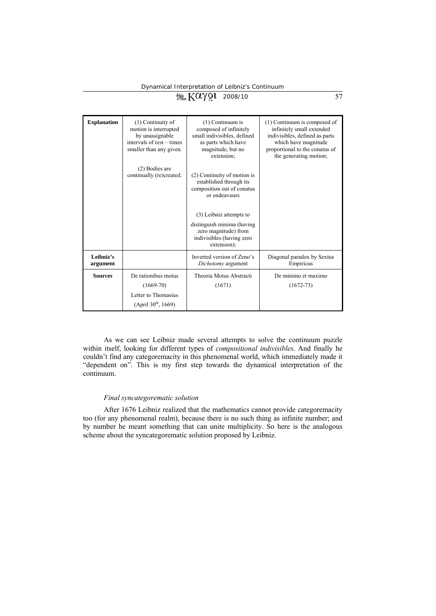# $K\alpha\gamma$ 2008/10 57

| <b>Explanation</b>    | (1) Continuity of<br>motion is interrupted<br>by unassignable<br>intervals of rest – times<br>smaller than any given. | $(1)$ Continuum is<br>composed of infinitely<br>small indivisibles, defined<br>as parts which have<br>magnitude, but no<br>extension; | (1) Continuum is composed of<br>infinitely small extended<br>indivisibles, defined as parts<br>which have magnitude<br>proportional to the conatus of<br>the generating motion; |
|-----------------------|-----------------------------------------------------------------------------------------------------------------------|---------------------------------------------------------------------------------------------------------------------------------------|---------------------------------------------------------------------------------------------------------------------------------------------------------------------------------|
|                       | (2) Bodies are<br>continually (re)created.                                                                            | (2) Continuity of motion is<br>established through its<br>composition out of conatus<br>or endeavours                                 |                                                                                                                                                                                 |
|                       |                                                                                                                       | (3) Leibniz attempts to                                                                                                               |                                                                                                                                                                                 |
|                       |                                                                                                                       | distinguish minima (having<br>zero magnitude) from<br>indivisibles (having zero<br>extension);                                        |                                                                                                                                                                                 |
| Leibniz's<br>argument |                                                                                                                       | Inverted version of Zeno's<br>Dichotomy argument                                                                                      | Diagonal paradox by Sextus<br>Empiricus                                                                                                                                         |
| <b>Sources</b>        | De rationibus motus                                                                                                   | Theoria Motus Abstracti                                                                                                               | De minimo et maximo                                                                                                                                                             |
|                       | $(1669-70)$                                                                                                           | (1671)                                                                                                                                | $(1672 - 73)$                                                                                                                                                                   |
|                       | Letter to Thomasius                                                                                                   |                                                                                                                                       |                                                                                                                                                                                 |
|                       | (April $30^{th}$ , 1669)                                                                                              |                                                                                                                                       |                                                                                                                                                                                 |

As we can see Leibniz made several attempts to solve the continuum puzzle within itself, looking for different types of *compositional indivisibles*. And finally he couldn't find any categoremacity in this phenomenal world, which immediately made it "dependent on". This is my first step towards the dynamical interpretation of the continuum.

### *Final syncategorematic solution*

After 1676 Leibniz realized that the mathematics cannot provide categoremacity too (for any phenomenal realm), because there is no such thing as infinite number; and by number he meant something that can unite multiplicity. So here is the analogous scheme about the syncategorematic solution proposed by Leibniz.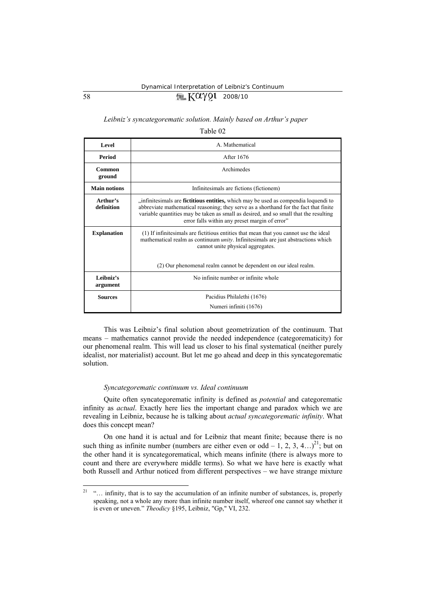# 58  $\sqrt{2}$   $\sqrt{2}$  2008/10

### *Leibniz's syncategorematic solution. Mainly based on Arthur's paper*

Table 02

| Level                  | A. Mathematical                                                                                                                                                                                                                                                                                                         |  |  |
|------------------------|-------------------------------------------------------------------------------------------------------------------------------------------------------------------------------------------------------------------------------------------------------------------------------------------------------------------------|--|--|
| Period                 | After 1676                                                                                                                                                                                                                                                                                                              |  |  |
| Common<br>ground       | Archimedes                                                                                                                                                                                                                                                                                                              |  |  |
| <b>Main notions</b>    | Infinitesimals are fictions (fictionem)                                                                                                                                                                                                                                                                                 |  |  |
| Arthur's<br>definition | "infinitesimals are fictitious entities, which may be used as compendia loquendi to<br>abbreviate mathematical reasoning; they serve as a shorthand for the fact that finite<br>variable quantities may be taken as small as desired, and so small that the resulting<br>error falls within any preset margin of error" |  |  |
| <b>Explanation</b>     | (1) If infinitesimals are fictitious entities that mean that you cannot use the ideal<br>mathematical realm as continuum <i>unity</i> . Infinitesimals are just abstractions which<br>cannot unite physical aggregates.<br>(2) Our phenomenal realm cannot be dependent on our ideal realm.                             |  |  |
|                        |                                                                                                                                                                                                                                                                                                                         |  |  |
| Leibniz's<br>argument  | No infinite number or infinite whole                                                                                                                                                                                                                                                                                    |  |  |
| <b>Sources</b>         | Pacidius Philalethi (1676)                                                                                                                                                                                                                                                                                              |  |  |
|                        | Numeri infiniti (1676)                                                                                                                                                                                                                                                                                                  |  |  |

This was Leibniz's final solution about geometrization of the continuum. That means – mathematics cannot provide the needed independence (categorematicity) for our phenomenal realm. This will lead us closer to his final systematical (neither purely idealist, nor materialist) account. But let me go ahead and deep in this syncategorematic solution.

#### *Syncategorematic continuum vs. Ideal continuum*

Quite often syncategorematic infinity is defined as *potential* and categorematic infinity as *actual*. Exactly here lies the important change and paradox which we are revealing in Leibniz, because he is talking about *actual syncategorematic infinity*. What does this concept mean?

On one hand it is actual and for Leibniz that meant finite; because there is no such thing as infinite number (numbers are either even or odd – 1, 2, 3, 4…)<sup>21</sup>; but on the other hand it is syncategorematical, which means infinite (there is always more to count and there are everywhere middle terms). So what we have here is exactly what both Russell and Arthur noticed from different perspectives – we have strange mixture

<sup>&</sup>lt;sup>21</sup> "… infinity, that is to say the accumulation of an infinite number of substances, is, properly speaking, not a whole any more than infinite number itself, whereof one cannot say whether it is even or uneven." *Theodicy* §195, Leibniz, "Gp," VІ, 232.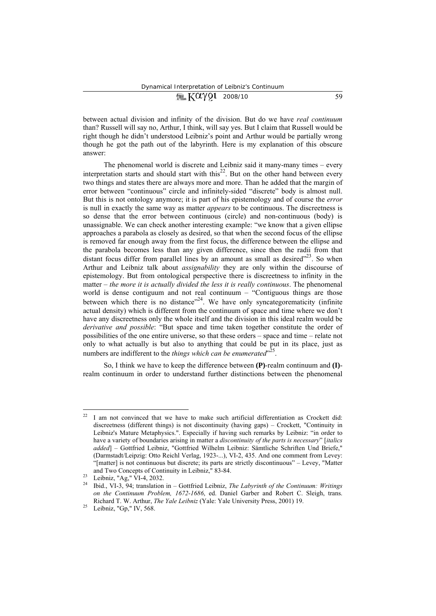## $\sqrt{2}$   $K\alpha$   $\gamma$   $\Omega$  2008/10 59

between actual division and infinity of the division. But do we have *real continuum* than? Russell will say no, Arthur, I think, will say yes. But I claim that Russell would be right though he didn't understood Leibniz's point and Arthur would be partially wrong though he got the path out of the labyrinth. Here is my explanation of this obscure answer:

The phenomenal world is discrete and Leibniz said it many-many times – every interpretation starts and should start with this<sup>22</sup>. But on the other hand between every two things and states there are always more and more. Than he added that the margin of error between "continuous" circle and infinitely-sided "discrete" body is almost null. But this is not ontology anymore; it is part of his epistemology and of course the *error* is null in exactly the same way as matter *appears* to be continuous. The discreetness is so dense that the error between continuous (circle) and non-continuous (body) is unassignable. We can check another interesting example: "we know that a given ellipse approaches a parabola as closely as desired, so that when the second focus of the ellipse is removed far enough away from the first focus, the difference between the ellipse and the parabola becomes less than any given difference, since then the radii from that distant focus differ from parallel lines by an amount as small as desired $^{23}$ . So when Arthur and Leibniz talk about *assignability* they are only within the discourse of epistemology. But from ontological perspective there is discreetness to infinity in the matter – *the more it is actually divided the less it is really continuous*. The phenomenal world is dense contiguum and not real continuum – "Contiguous things are those between which there is no distance"<sup>24</sup>. We have only syncategorematicity (infinite actual density) which is different from the continuum of space and time where we don't have any discreetness only the whole itself and the division in this ideal realm would be *derivative and possible*: "But space and time taken together constitute the order of possibilities of the one entire universe, so that these orders – space and time – relate not only to what actually is but also to anything that could be put in its place, just as numbers are indifferent to the *things which can be enumerated*<sup>25</sup>.

So, I think we have to keep the difference between **(P)**-realm continuum and **(I)** realm continuum in order to understand further distinctions between the phenomenal

 $22$ I am not convinced that we have to make such artificial differentiation as Crockett did: discreetness (different things) is not discontinuity (having gaps) – Crockett, "Continuity in Leibniz's Mature Metaphysics.". Especially if having such remarks by Leibniz: "in order to have a variety of boundaries arising in matter a *discontinuity of the parts is necessary*" [*italics added*] – Gottfried Leibniz, "Gottfried Wilhelm Leibniz: Sämtliche Schriften Und Briefe," (Darmstadt/Leipzig: Otto Reichl Verlag, 1923-...), VІ-2, 435. And one comment from Levey: "[matter] is not continuous but discrete; its parts are strictly discontinuous" – Levey, "Matter and Two Concepts of Continuity in Leibniz," 83-84.<br><sup>23</sup> Leibniz, "Ag," VI-4, 2032.<br><sup>24</sup> Ibid., VI-3, 94; translation in – Gottfried Leibniz, *The Labyrinth of the Continuum: Writings* 

*on the Continuum Problem, 1672-1686*, ed. Daniel Garber and Robert C. Sleigh, trans. Richard T. W. Arthur, *The Yale Leibniz* (Yale: Yale University Press, 2001) 19.<br><sup>25</sup> Leibniz, "Gp," IV, 568.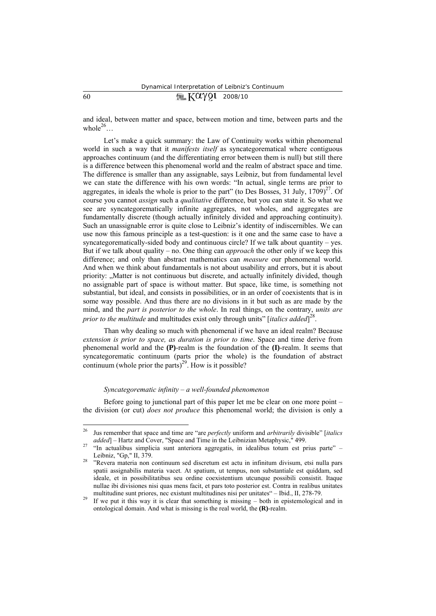# $60$   $\sqrt{m}$   $K\alpha\gamma$ 91 2008/10

and ideal, between matter and space, between motion and time, between parts and the whole<sup>26</sup>

Let's make a quick summary: the Law of Continuity works within phenomenal world in such a way that it *manifests itself* as syncategorematical where contiguous approaches continuum (and the differentiating error between them is null) but still there is a difference between this phenomenal world and the realm of abstract space and time. The difference is smaller than any assignable, says Leibniz, but from fundamental level we can state the difference with his own words: "In actual, single terms are prior to aggregates, in ideals the whole is prior to the part" (to Des Bosses, 31 July,  $1709$ )<sup>27</sup>. Of course you cannot *assign* such a *qualitative* difference, but you can state it. So what we see are syncategorematically infinite aggregates, not wholes, and aggregates are fundamentally discrete (though actually infinitely divided and approaching continuity). Such an unassignable error is quite close to Leibniz's identity of indiscernibles. We can use now this famous principle as a test-question: is it one and the same case to have a syncategorematically-sided body and continuous circle? If we talk about quantity – yes. But if we talk about quality – no. One thing can *approach* the other only if we keep this difference; and only than abstract mathematics can *measure* our phenomenal world. And when we think about fundamentals is not about usability and errors, but it is about priority: "Matter is not continuous but discrete, and actually infinitely divided, though no assignable part of space is without matter. But space, like time, is something not substantial, but ideal, and consists in possibilities, or in an order of coexistents that is in some way possible. And thus there are no divisions in it but such as are made by the mind, and the *part is posterior to the whole*. In real things, on the contrary, *units are prior to the multitude* and multitudes exist only through units" [*italics added*] 28.

Than why dealing so much with phenomenal if we have an ideal realm? Because *extension is prior to space, as duration is prior to time*. Space and time derive from phenomenal world and the **(P)**-realm is the foundation of the **(I)**-realm. It seems that syncategorematic continuum (parts prior the whole) is the foundation of abstract continuum (whole prior the parts)<sup>29</sup>. How is it possible?

### *Syncategorematic infinity – a well-founded phenomenon*

Before going to junctional part of this paper let me be clear on one more point – the division (or cut) *does not produce* this phenomenal world; the division is only a

<sup>26</sup> Jus remember that space and time are "are *perfectly* uniform and *arbitrarily* divisible" [*italics added*] – Hartz and Cover, "Space and Time in the Leibnizian Metaphysic," 499.<br><sup>27</sup> "In actualibus simplicia sunt anteriora aggregatis, in idealibus totum est prius parte" –

Leibniz, "Gp," II, 379.<br><sup>28</sup> "Revera materia non continuum sed discretum est actu in infinitum divisum, etsi nulla pars

spatii assignabilis materia vacet. At spatium, ut tempus, non substantiale est quiddam, sed ideale, et in possibilitatibus seu ordine coexistentium utcunque possibili consistit. Itaque nullae ibi divisiones nisi quas mens facit, et pars toto posterior est. Contra in realibus unitates

multitudine sunt priores, nec existunt multitudines nisi per unitates" – Ibid., II, 278-79.<br><sup>29</sup> If we put it this way it is clear that something is missing – both in epistemological and in ontological domain. And what is missing is the real world, the **(R)**-realm.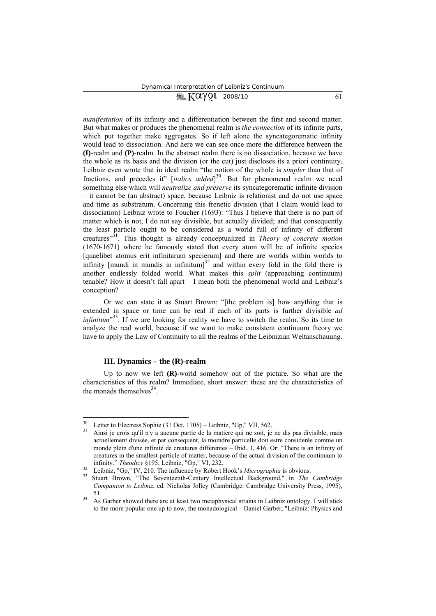# $\sqrt{2}$   $\sqrt{2}$   $\sqrt{2}$   $\sqrt{2}$   $\sqrt{2}$   $\sqrt{2}$   $\sqrt{2}$   $\sqrt{2}$   $\sqrt{2}$   $\sqrt{2}$   $\sqrt{2}$   $\sqrt{2}$   $\sqrt{2}$   $\sqrt{2}$   $\sqrt{2}$   $\sqrt{2}$   $\sqrt{2}$   $\sqrt{2}$   $\sqrt{2}$   $\sqrt{2}$   $\sqrt{2}$   $\sqrt{2}$   $\sqrt{2}$   $\sqrt{2}$   $\sqrt{2}$   $\sqrt{2}$   $\sqrt{2}$   $\sqrt{2$

*manifestation* of its infinity and a differentiation between the first and second matter. But what makes or produces the phenomenal realm is *the connection* of its infinite parts, which put together make aggregates. So if left alone the syncategorematic infinity would lead to dissociation. And here we can see once more the difference between the **(I)**-realm and **(P)**-realm. In the abstract realm there is no dissociation, because we have the whole as its basis and the division (or the cut) just discloses its a priori continuity. Leibniz even wrote that in ideal realm "the notion of the whole is *simpler* than that of fractions, and precedes it" [*italics added*] 30. But for phenomenal realm we need something else which will *neutralize and preserve* its syncategorematic infinite division – it cannot be (an abstract) space, because Leibniz is relationist and do not use space and time as substratum. Concerning this frenetic division (that I claim would lead to dissociation) Leibniz wrote to Foucher (1693): "Thus I believe that there is no part of matter which is not, I do not say divisible, but actually divided; and that consequently the least particle ought to be considered as a world full of infinity of different creatures"31. This thought is already conceptualized in *Theory of concrete motion* (1670-1671) where he famously stated that every atom will be of infinite species [quaelibet atomus erit infinitarum specierum] and there are worlds within worlds to infinity [mundi in mundis in infinitum] $32$  and within every fold in the fold there is another endlessly folded world. What makes this *split* (approaching continuum) tenable? How it doesn't fall apart – I mean both the phenomenal world and Leibniz's conception?

Or we can state it as Stuart Brown: "[the problem is] how anything that is extended in space or time can be real if each of its parts is further divisible *ad infinitum*<sup>33</sup>. If we are looking for reality we have to switch the realm. So its time to analyze the real world, because if we want to make consistent continuum theory we have to apply the Law of Continuity to all the realms of the Leibnizian Weltanschauung.

### **III. Dynamics – the (R)-realm**

 $\overline{a}$ 

Up to now we left **(R)**-world somehow out of the picture. So what are the characteristics of this realm? Immediate, short answer: these are the characteristics of the monads themselves  $34$ .

<sup>&</sup>lt;sup>30</sup> Letter to Electress Sophie (31 Oct, 1705) – Leibniz, "Gp," VII, 562.<br><sup>31</sup> Ainsi je crois qu'il n'y a aucune partie de la matiere qui ne soit, je ne dis pas divisible, mais actuellement divisée, et par consequent, la moindre particelle doit estre considerée comme un monde plein d'une infinité de creatures differentes – Ibid., І, 416. Or: "There is an infinity of creatures in the smallest particle of matter, because of the actual division of the continuum to infinity." Theodicy §195, Leibniz, "Gp," VI, 232.<br><sup>32</sup> Leibniz, "Gp," IV, 210. The influence by Robert Hook's *Micrographia* is obvious.<br><sup>33</sup> Stuart Brown, "The Seventeenth-Century Intellectual Background," in *The Cambrid* 

*Companion to Leibniz*, ed. Nicholas Jolley (Cambridge: Cambridge University Press, 1995), 51. 34 As Garber showed there are at least two metaphysical strains in Leibniz ontology. I will stick

to the more popular one up to now, the monadological – Daniel Garber, "Leibniz: Physics and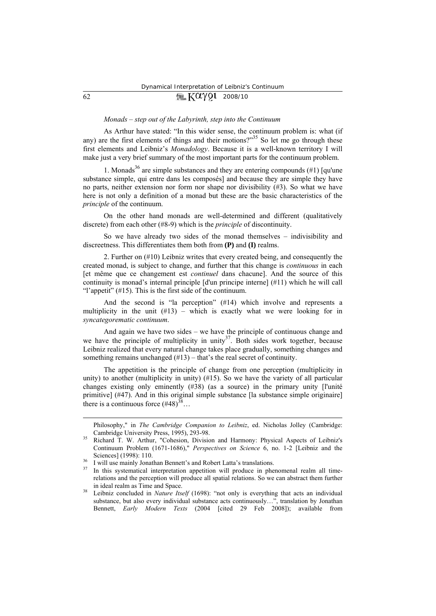# $62$   $\sqrt{2}$   $\sqrt{2}$   $\sqrt{2}$   $\sqrt{2}$   $2008/10$

### *Monads – step out of the Labyrinth, step into the Continuum*

As Arthur have stated: "In this wider sense, the continuum problem is: what (if any) are the first elements of things and their motions?"<sup>35</sup> So let me go through these first elements and Leibniz's *Monadology*. Because it is a well-known territory I will make just a very brief summary of the most important parts for the continuum problem.

1. Monads<sup>36</sup> are simple substances and they are entering compounds (#1) [qu'une substance simple, qui entre dans les composés] and because they are simple they have no parts, neither extension nor form nor shape nor divisibility (#3). So what we have here is not only a definition of a monad but these are the basic characteristics of the *principle* of the continuum.

On the other hand monads are well-determined and different (qualitatively discrete) from each other (#8-9) which is the *principle* of discontinuity.

So we have already two sides of the monad themselves – indivisibility and discreetness. This differentiates them both from **(P)** and **(I)** realms.

2. Further on (#10) Leibniz writes that every created being, and consequently the created monad, is subject to change, and further that this change is *continuous* in each [et même que ce changement est *continuel* dans chacune]. And the source of this continuity is monad's internal principle [d'un principe interne] (#11) which he will call "l'appetit" (#15). This is the first side of the continuum.

And the second is "la perception" (#14) which involve and represents a multiplicity in the unit (#13) – which is exactly what we were looking for in *syncategorematic continuum*.

And again we have two sides – we have the principle of continuous change and we have the principle of multiplicity in unity<sup>37</sup>. Both sides work together, because Leibniz realized that every natural change takes place gradually, something changes and something remains unchanged  $(\#13)$  – that's the real secret of continuity.

The appetition is the principle of change from one perception (multiplicity in unity) to another (multiplicity in unity) (#15). So we have the variety of all particular changes existing only eminently (#38) (as a source) in the primary unity [l'unité primitive] (#47). And in this original simple substance [la substance simple originaire] there is a continuous force  $(#48)^{38}$ ...

Philosophy," in *The Cambridge Companion to Leibniz*, ed. Nicholas Jolley (Cambridge:

Cambridge University Press, 1995), 293-98. 35 Richard T. W. Arthur, "Cohesion, Division and Harmony: Physical Aspects of Leibniz's Continuum Problem (1671-1686)," *Perspectives on Science* 6, no. 1-2 [Leibniz and the Sciences] (1998): 110.<br><sup>36</sup> I will use mainly Jonathan Bennett's and Robert Latta's translations.<br><sup>37</sup> In this austenation interpretation expection will produce in the

In this systematical interpretation appetition will produce in phenomenal realm all timerelations and the perception will produce all spatial relations. So we can abstract them further in ideal realm as Time and Space. 38 Leibniz concluded in *Nature Itself* (1698): "not only is everything that acts an individual

substance, but also every individual substance acts continuously…", translation by Jonathan Bennett, *Early Modern Texts* (2004 [cited 29 Feb 2008]); available from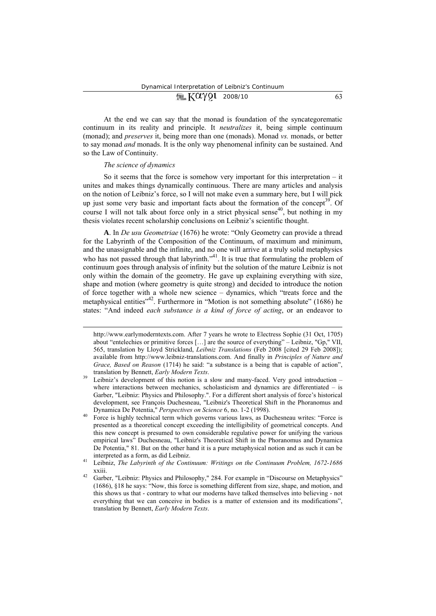## At the end we can say that the monad is foundation of the syncategorematic continuum in its reality and principle. It *neutralizes* it, being simple continuum (monad); and *preserves* it, being more than one (monads). Monad *vs.* monads, or better to say monad *and* monads. It is the only way phenomenal infinity can be sustained. And so the Law of Continuity.

### *The science of dynamics*

 $\overline{a}$ 

So it seems that the force is somehow very important for this interpretation  $-$  it unites and makes things dynamically continuous. There are many articles and analysis on the notion of Leibniz's force, so I will not make even a summary here, but I will pick up just some very basic and important facts about the formation of the concept<sup>39</sup>. Of course I will not talk about force only in a strict physical sense<sup>40</sup>, but nothing in my thesis violates recent scholarship conclusions on Leibniz's scientific thought.

**A**. In *De usu Geometriae* (1676) he wrote: "Only Geometry can provide a thread for the Labyrinth of the Composition of the Continuum, of maximum and minimum, and the unassignable and the infinite, and no one will arrive at a truly solid metaphysics who has not passed through that labyrinth. $"^{41}$ . It is true that formulating the problem of continuum goes through analysis of infinity but the solution of the mature Leibniz is not only within the domain of the geometry. He gave up explaining everything with size, shape and motion (where geometry is quite strong) and decided to introduce the notion of force together with a whole new science – dynamics, which "treats force and the metaphysical entities<sup>342</sup>. Furthermore in "Motion is not something absolute" (1686) he states: "And indeed *each substance is a kind of force of acting*, or an endeavor to

http://www.earlymoderntexts.com. After 7 years he wrote to Electress Sophie (31 Oct, 1705) about "entelechies or primitive forces […] are the source of everything" – Leibniz, "Gp," VІІ, 565, translation by Lloyd Strickland, *Leibniz Translations* (Feb 2008 [cited 29 Feb 2008]); available from http://www.leibniz-translations.com. And finally in *Principles of Nature and Grace, Based on Reason* (1714) he said: "a substance is a being that is capable of action",

translation by Bennett, *Early Modern Texts*.<br><sup>39</sup> Leibniz's development of this notion is a slow and many-faced. Very good introduction – where interactions between mechanics, scholasticism and dynamics are differentiated  $-$  is Garber, "Leibniz: Physics and Philosophy.". For a different short analysis of force's historical development, see François Duchesneau, "Leibniz's Theoretical Shift in the Phoranomus and

Dynamica De Potentia," *Perspectives on Science* 6, no. 1-2 (1998).<br><sup>40</sup> Force is highly technical term which governs various laws, as Duchesneau writes: "Force is presented as a theoretical concept exceeding the intelligibility of geometrical concepts. And this new concept is presumed to own considerable regulative power for unifying the various empirical laws" Duchesneau, "Leibniz's Theoretical Shift in the Phoranomus and Dynamica De Potentia," 81. But on the other hand it is a pure metaphysical notion and as such it can be

interpreted as a form, as did Leibniz. 41 Leibniz, *The Labyrinth of the Continuum: Writings on the Continuum Problem, 1672-1686*

<sup>&</sup>lt;sup>42</sup> Garber, "Leibniz: Physics and Philosophy," 284. For example in "Discourse on Metaphysics" (1686), §18 he says: "Now, this force is something different from size, shape, and motion, and this shows us that - contrary to what our moderns have talked themselves into believing - not everything that we can conceive in bodies is a matter of extension and its modifications", translation by Bennett, *Early Modern Texts*.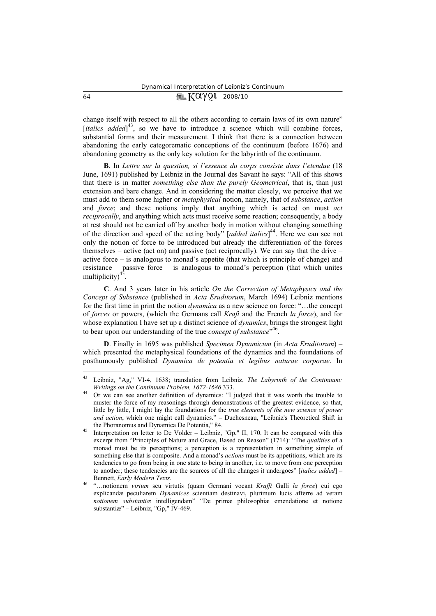# $64 \qquad \qquad \blacksquare \text{ KQYQ1} \text{ 2008/10}$

change itself with respect to all the others according to certain laws of its own nature" [*italics added*]<sup>43</sup>, so we have to introduce a science which will combine forces, substantial forms and their measurement. I think that there is a connection between abandoning the early categorematic conceptions of the continuum (before 1676) and abandoning geometry as the only key solution for the labyrinth of the continuum.

**B**. In *Lettre sur la question, si l'essence du corps consiste dans l'etendue* (18 June, 1691) published by Leibniz in the Journal des Savant he says: "All of this shows that there is in matter *something else than the purely Geometrical*, that is, than just extension and bare change. And in considering the matter closely, we perceive that we must add to them some higher or *metaphysical* notion, namely, that of *substance*, *action* and *force*; and these notions imply that anything which is acted on must *act reciprocally*, and anything which acts must receive some reaction; consequently, a body at rest should not be carried off by another body in motion without changing something of the direction and speed of the acting body" [*added italics*] 44. Here we can see not only the notion of force to be introduced but already the differentiation of the forces themselves – active (act on) and passive (act reciprocally). We can say that the drive – active force – is analogous to monad's appetite (that which is principle of change) and resistance – passive force – is analogous to monad's perception (that which unites multiplicity) $4\overline{5}$ .

**C**. And 3 years later in his article *On the Correction of Metaphysics and the Concept of Substance* (published in *Acta Eruditorum*, March 1694) Leibniz mentions for the first time in print the notion *dynamica* as a new science on force: "…the concept of *forces* or powers, (which the Germans call *Kraft* and the French *la force*), and for whose explanation I have set up a distinct science of *dynamics*, brings the strongest light to bear upon our understanding of the true *concept of substance*" 46.

**D**. Finally in 1695 was published *Specimen Dynamicum* (in *Acta Eruditorum*) – which presented the metaphysical foundations of the dynamics and the foundations of posthumously published *Dynamica de potentia et legibus naturae corporae*. In

<sup>43</sup> Leibniz, "Ag," VІ-4, 1638; translation from Leibniz, *The Labyrinth of the Continuum: Writings on the Continuum Problem, 1672-1686* 333.<br><sup>44</sup> Or we can see another definition of dynamics: "I judged that it was worth the trouble to

muster the force of my reasonings through demonstrations of the greatest evidence, so that, little by little, I might lay the foundations for the *true elements of the new science of power and action*, which one might call dynamics." – Duchesneau, "Leibniz's Theoretical Shift in the Phoranomus and Dynamica De Potentia," 84.<br><sup>45</sup> Interpretation on letter to De Volder – Leibniz, "Gp," II, 170. It can be compared with this

excerpt from "Principles of Nature and Grace, Based on Reason" (1714): "The *qualities* of a monad must be its perceptions; a perception is a representation in something simple of something else that is composite. And a monad's *actions* must be its appetitions, which are its tendencies to go from being in one state to being in another, i.e. to move from one perception to another; these tendencies are the sources of all the changes it undergoes" [*italics added*] – Bennett, *Early Modern Texts*. 46 "…notionem *virium* seu virtutis (quam Germani vocant *Krafft* Galli *la force*) cui ego

explicandæ peculiarem *Dynamices* scientiam destinavi, plurimum lucis afferre ad veram *notionem substantiæ* intelligendam" "De primæ philosophiæ emendatione et notione substantiæ" – Leibniz, "Gp," IV-469.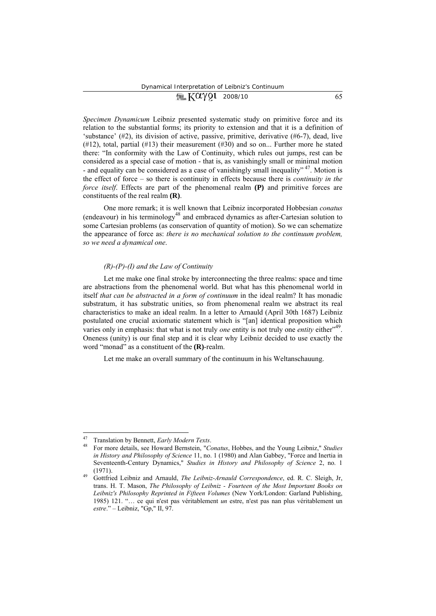# $\sqrt{2\pi K}$   $X \alpha \gamma$  91 2008/10 65

*Specimen Dynamicum* Leibniz presented systematic study on primitive force and its relation to the substantial forms; its priority to extension and that it is a definition of 'substance' (#2), its division of active, passive, primitive, derivative (#6-7), dead, live  $(\#12)$ , total, partial  $(\#13)$  their measurement  $(\#30)$  and so on... Further more he stated there: "In conformity with the Law of Continuity, which rules out jumps, rest can be considered as a special case of motion - that is, as vanishingly small or minimal motion - and equality can be considered as a case of vanishingly small inequality<sup>" 47</sup>. Motion is the effect of force – so there is continuity in effects because there is *continuity in the force itself.* Effects are part of the phenomenal realm (P) and primitive forces are constituents of the real realm **(R)**.

One more remark; it is well known that Leibniz incorporated Hobbesian *conatus* (endeavour) in his terminology48 and embraced dynamics as after-Cartesian solution to some Cartesian problems (as conservation of quantity of motion). So we can schematize the appearance of force as: *there is no mechanical solution to the continuum problem, so we need a dynamical one*.

#### *(R)-(P)-(I) and the Law of Continuity*

Let me make one final stroke by interconnecting the three realms: space and time are abstractions from the phenomenal world. But what has this phenomenal world in itself *that can be abstracted in a form of continuum* in the ideal realm? It has monadic substratum, it has substratic unities, so from phenomenal realm we abstract its real characteristics to make an ideal realm. In a letter to Arnauld (April 30th 1687) Leibniz postulated one crucial axiomatic statement which is "[an] identical proposition which varies only in emphasis: that what is not truly *one* entity is not truly one *entity* either<sup>199</sup>. Oneness (unity) is our final step and it is clear why Leibniz decided to use exactly the word "monad" as a constituent of the **(R)**-realm.

Let me make an overall summary of the continuum in his Weltanschauung.

<sup>47</sup> Translation by Bennett, *Early Modern Texts*. 48 For more details, see Howard Bernstein, "*Conatus*, Hobbes, and the Young Leibniz," *Studies in History and Philosophy of Science* 11, no. 1 (1980) and Alan Gabbey, "Force and Inertia in Seventeenth-Century Dynamics," *Studies in History and Philosophy of Science* 2, no. 1 (1971). 49 Gottfried Leibniz and Arnauld, *The Leibniz-Arnauld Correspondence*, ed. R. C. Sleigh, Jr,

trans. H. T. Mason, *The Philosophy of Leibniz - Fourteen of the Most Important Books on Leibniz's Philosophy Reprinted in Fifteen Volumes* (New York/London: Garland Publishing, 1985) 121. "… ce qui n'est pas véritablement *un* estre, n'est pas nan plus véritablement un *estre*." – Leibniz, "Gp," ІІ, 97.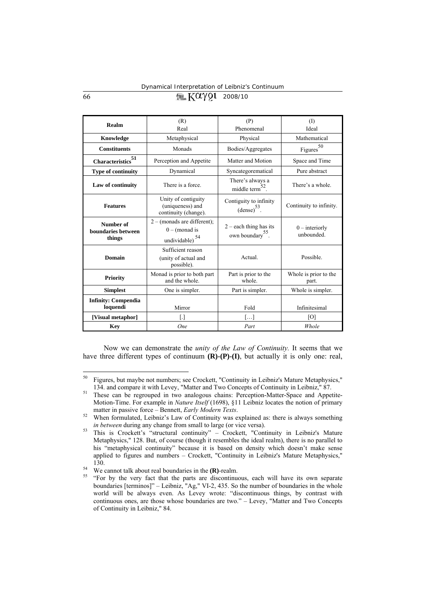## 66  $\sqrt{2}$   $\sqrt{2}Q$  2008/10

| Realm                                     | (R)                                                                      | (P)                                                      | $($ $\Gamma$                   |
|-------------------------------------------|--------------------------------------------------------------------------|----------------------------------------------------------|--------------------------------|
|                                           | Real                                                                     | Phenomenal                                               | Ideal                          |
| Knowledge                                 | Metaphysical                                                             | Physical                                                 | Mathematical                   |
| <b>Constituents</b>                       | Monads                                                                   | Bodies/Aggregates                                        | Figures $50$                   |
| Characteristics $\!\!\!{}^{51}$           | Perception and Appetite                                                  | Matter and Motion                                        | Space and Time                 |
| <b>Type of continuity</b>                 | Dynamical                                                                | Syncategorematical                                       | Pure abstract                  |
| Law of continuity                         | There is a force.                                                        | There's always a<br>middle term <sup>32</sup> .          | There's a whole.               |
| <b>Features</b>                           | Unity of contiguity<br>(uniqueness) and<br>continuity (change).          | Contiguity to infinity<br>$(dense)^{53}$ .               | Continuity to infinity.        |
| Number of<br>boundaries between<br>things | $2 - ($ monads are different);<br>$0 - ($ monad is<br>54<br>undividable) | $2$ – each thing has its<br>own boundary <sup>55</sup> . | $0$ – interiorly<br>unbounded. |
| Domain                                    | Sufficient reason<br>(unity of actual and<br>possible).                  | Actual.                                                  | Possible.                      |
| <b>Priority</b>                           | Monad is prior to both part<br>and the whole.                            | Part is prior to the<br>whole.                           | Whole is prior to the<br>part. |
| <b>Simplest</b>                           | One is simpler.                                                          | Part is simpler.                                         | Whole is simpler.              |
| <b>Infinity: Compendia</b><br>loquendi    | Mirror                                                                   | Fold                                                     | Infinitesimal                  |
| [Visual metaphor]                         | IJ                                                                       | []                                                       | [O]                            |
| <b>Key</b>                                | <b>One</b>                                                               | Part                                                     | Whole                          |

Now we can demonstrate the *unity of the Law of Continuity.* It seems that we have three different types of continuum  $(R)$ - $(P)$ - $(I)$ , but actually it is only one: real,

<sup>&</sup>lt;sup>50</sup> Figures, but maybe not numbers; see Crockett, "Continuity in Leibniz's Mature Metaphysics," 134. and compare it with Levey, "Matter and Two Concepts of Continuity in Leibniz," 87. 51 These can be regrouped in two analogous chains: Perception-Matter-Space and Appetite-

Motion-Time. For example in *Nature Itself* (1698), §11 Leibniz locates the notion of primary matter in passive force – Bennett, *Early Modern Texts*.<br><sup>52</sup> When formulated, Leibniz's Law of Continuity was explained as: there is always something

*in between* during any change from small to large (or vice versa).<br><sup>53</sup> This is Crockett's "structural continuity" – Crockett, "Continuity in Leibniz's Mature

Metaphysics," 128. But, of course (though it resembles the ideal realm), there is no parallel to his "metaphysical continuity" because it is based on density which doesn't make sense applied to figures and numbers – Crockett, "Continuity in Leibniz's Mature Metaphysics," 130.<br><sup>54</sup> We cannot talk about real boundaries in the **(R)**-realm.<br><sup>55</sup> "For by the very fact that the parts are discontinuous, each will have its own separate

boundaries [terminos]" – Leibniz, "Ag," VI-2, 435. So the number of boundaries in the whole world will be always even. As Levey wrote: "discontinuous things, by contrast with continuous ones, are those whose boundaries are two." – Levey, "Matter and Two Concepts of Continuity in Leibniz," 84.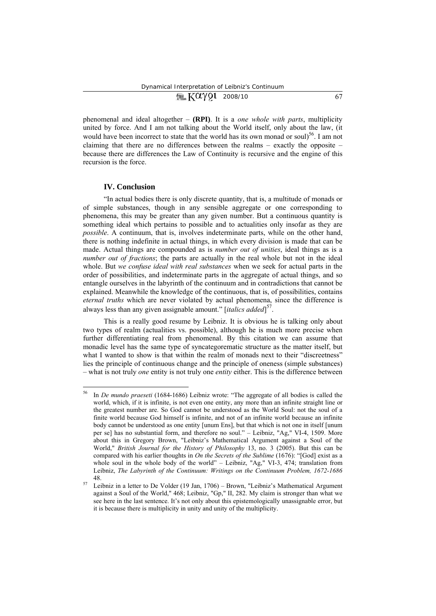| $M$ $K\alpha$ $\gamma$ Q1 2008/10 |  |  |  |
|-----------------------------------|--|--|--|
|-----------------------------------|--|--|--|

phenomenal and ideal altogether – **(RPI)**. It is a *one whole with parts*, multiplicity united by force. And I am not talking about the World itself, only about the law, (it would have been incorrect to state that the world has its own monad or soul)<sup>56</sup>. I am not claiming that there are no differences between the realms – exactly the opposite – because there are differences the Law of Continuity is recursive and the engine of this recursion is the force.

#### **IV. Conclusion**

 $\overline{a}$ 

"In actual bodies there is only discrete quantity, that is, a multitude of monads or of simple substances, though in any sensible aggregate or one corresponding to phenomena, this may be greater than any given number. But a continuous quantity is something ideal which pertains to possible and to actualities only insofar as they are *possible*. A continuum, that is, involves indeterminate parts, while on the other hand, there is nothing indefinite in actual things, in which every division is made that can be made. Actual things are compounded as is *number out of unities*, ideal things as is a *number out of fractions*; the parts are actually in the real whole but not in the ideal whole. But *we confuse ideal with real substances* when we seek for actual parts in the order of possibilities, and indeterminate parts in the aggregate of actual things, and so entangle ourselves in the labyrinth of the continuum and in contradictions that cannot be explained. Meanwhile the knowledge of the continuous, that is, of possibilities, contains *eternal truths* which are never violated by actual phenomena, since the difference is always less than any given assignable amount." [*italics added*] 57.

This is a really good resume by Leibniz. It is obvious he is talking only about two types of realm (actualities vs. possible), although he is much more precise when further differentiating real from phenomenal. By this citation we can assume that monadic level has the same type of syncategorematic structure as the matter itself, but what I wanted to show is that within the realm of monads next to their "discreetness" lies the principle of continuous change and the principle of oneness (simple substances) – what is not truly *one* entity is not truly one *entity* either. This is the difference between

<sup>56</sup> In *De mundo praeseti* (1684-1686) Leibniz wrote: "The aggregate of all bodies is called the world, which, if it is infinite, is not even one entity, any more than an infinite straight line or the greatest number are. So God cannot be understood as the World Soul: not the soul of a finite world because God himself is infinite, and not of an infinite world because an infinite body cannot be understood as one entity [unum Ens], but that which is not one in itself [unum per se] has no substantial form, and therefore no soul." – Leibniz, "Ag," VІ-4, 1509. More about this in Gregory Brown, "Leibniz's Mathematical Argument against a Soul of the World," *British Journal for the History of Philosophy* 13, no. 3 (2005). But this can be compared with his earlier thoughts in *On the Secrets of the Sublime* (1676): "[God] exist as a whole soul in the whole body of the world" – Leibniz, "Ag," VI-3, 474; translation from Leibniz, *The Labyrinth of the Continuum: Writings on the Continuum Problem, 1672-1686*

<sup>48. 57</sup> Leibniz in a letter to De Volder (19 Jan, 1706) – Brown, "Leibniz's Mathematical Argument against a Soul of the World," 468; Leibniz, "Gp," ІІ, 282. My claim is stronger than what we see here in the last sentence. It's not only about this epistemologically unassignable error, but it is because there is multiplicity in unity and unity of the multiplicity.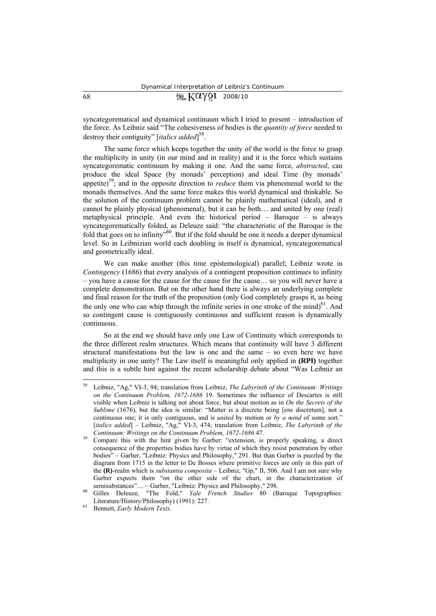## $68$   $\sqrt{2Q\gamma Q1}$  2008/10

syncategorematical and dynamical continuum which I tried to present – introduction of the force. As Leibniz said "The cohesiveness of bodies is the *quantity of force* needed to destroy their contiguity" [*italics added*] 58.

The same force which keeps together the unity of the world is the force to grasp the multiplicity in unity (in our mind and in reality) and it is the force which sustains syncategorematic continuum by making it one. And the same force, *abstracted*, can produce the ideal Space (by monads' perception) and ideal Time (by monads' appetite)<sup>59</sup>; and in the opposite direction to *reduce* them via phenomenal world to the monads themselves. And the same force makes this world dynamical and thinkable. So the solution of the continuum problem cannot be plainly mathematical (ideal), and it cannot be plainly physical (phenomenal), but it can be both… and united by one (real) metaphysical principle. And even the historical period – Baroque – is always syncategorematically folded, as Deleuze said: "the characteristic of the Baroque is the fold that goes on to infinity<sup>560</sup>. But if the fold should be one it needs a deeper dynamical level. So in Leibnizian world each doubling in itself is dynamical, syncategorematical and geometrically ideal.

We can make another (this time epistemological) parallel; Leibniz wrote in *Contingency* (1686) that every analysis of a contingent proposition continues to infinity – you have a cause for the cause for the cause for the cause… so you will never have a complete demonstration. But on the other hand there is always an underlying complete and final reason for the truth of the proposition (only God completely grasps it, as being the only one who can whip through the infinite series in one stroke of the mind $)^{61}$ . And so contingent cause is contiguously continuous and sufficient reason is dynamically continuous.

So at the end we should have only one Law of Continuity which corresponds to the three different realm structures. Which means that continuity will have 3 different structural manifestations but the law is one and the same – so even here we have multiplicity in one unity? The Law itself is meaningful only applied in **(RPI)** together and this is a subtle hint against the recent scholarship debate about "Was Leibniz an

<sup>58</sup> Leibniz, "Ag," VІ-3, 94; translation from Leibniz, *The Labyrinth of the Continuum: Writings on the Continuum Problem, 1672-1686* 19. Sometimes the influence of Descartes is still visible when Leibniz is talking not about force, but about motion as in *On the Secrets of the Sublime* (1676), but the idea is similar: "Matter is a discrete being [ens discretum], not a continuous one; it is only contiguous, and is *united* by motion or *by a mind* of some sort." [*italics added*] – Leibniz, "Ag," VI-3, 474; translation from Leibniz, *The Labyrinth of the* 

*Continuum: Writings on the Continuum Problem, 1672-1686* 47.<br>Compare this with the hint given by Garber: "extension, is properly speaking, a direct consequence of the properties bodies have by virtue of which they resist penetration by other bodies" – Garber, "Leibniz: Physics and Philosophy," 291. But than Garber is puzzled by the diagram from 1715 in the letter to De Bosses where primitive forces are only in this part of the **(R)**-realm which is *substantia composita* – Leibniz, "Gp," ІІ, 506. And I am not sure why Garber expects them "on the other side of the chart, in the characterization of semisubstances"... – Garber, "Leibniz: Physics and Philosophy," 298.<br><sup>60</sup> Gilles Deleuze, "The Fold," *Yale French Studies* 80 (Baroque Topographies:

Literature/History/Philosophy) (1991): 227. 61 Bennett, *Early Modern Texts*.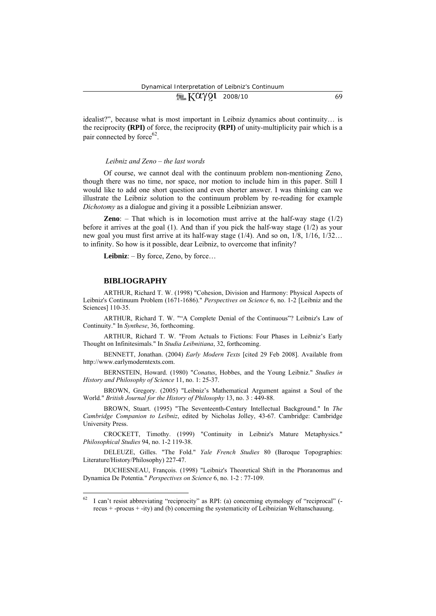| Kay91 2008/10<br><b>Time</b> |  |  |
|------------------------------|--|--|
|                              |  |  |

idealist?", because what is most important in Leibniz dynamics about continuity… is the reciprocity **(RPI)** of force, the reciprocity **(RPI)** of unity-multiplicity pair which is a pair connected by force $62$ .

### *Leibniz and Zeno – the last words*

Of course, we cannot deal with the continuum problem non-mentioning Zeno, though there was no time, nor space, nor motion to include him in this paper. Still I would like to add one short question and even shorter answer. I was thinking can we illustrate the Leibniz solution to the continuum problem by re-reading for example *Dichotomy* as a dialogue and giving it a possible Leibnizian answer.

**Zeno**: – That which is in locomotion must arrive at the half-way stage (1/2) before it arrives at the goal (1). And than if you pick the half-way stage (1/2) as your new goal you must first arrive at its half-way stage (1/4). And so on, 1/8, 1/16, 1/32… to infinity. So how is it possible, dear Leibniz, to overcome that infinity?

Leibniz:  $-$  By force, Zeno, by force...

#### **BIBLIOGRAPHY**

 $\overline{a}$ 

ARTHUR, Richard T. W. (1998) "Cohesion, Division and Harmony: Physical Aspects of Leibniz's Continuum Problem (1671-1686)." *Perspectives on Science* 6, no. 1-2 [Leibniz and the Sciences] 110-35.

ARTHUR, Richard T. W. ""A Complete Denial of the Continuous"? Leibniz's Law of Continuity." In *Synthese*, 36, forthcoming.

ARTHUR, Richard T. W. "From Actuals to Fictions: Four Phases in Leibniz's Early Thought on Infinitesimals." In *Studia Leibnitiana*, 32, forthcoming.

BENNETT, Jonathan. (2004) *Early Modern Texts* [cited 29 Feb 2008]. Available from http://www.earlymoderntexts.com.

BERNSTEIN, Howard. (1980) "*Conatus*, Hobbes, and the Young Leibniz." *Studies in History and Philosophy of Science* 11, no. 1: 25-37.

BROWN, Gregory. (2005) "Leibniz's Mathematical Argument against a Soul of the World." *British Journal for the History of Philosophy* 13, no. 3 : 449-88.

BROWN, Stuart. (1995) "The Seventeenth-Century Intellectual Background." In *The Cambridge Companion to Leibniz*, edited by Nicholas Jolley, 43-67. Cambridge: Cambridge University Press.

CROCKETT, Timothy. (1999) "Continuity in Leibniz's Mature Metaphysics." *Philosophical Studies* 94, no. 1-2 119-38.

DELEUZE, Gilles. "The Fold." *Yale French Studies* 80 (Baroque Topographies: Literature/History/Philosophy) 227-47.

DUCHESNEAU, François. (1998) "Leibniz's Theoretical Shift in the Phoranomus and Dynamica De Potentia." *Perspectives on Science* 6, no. 1-2 : 77-109.

<sup>62</sup> I can't resist abbreviating "reciprocity" as RPI: (a) concerning etymology of "reciprocal" ( recus + -procus + -ity) and (b) concerning the systematicity of Leibnizian Weltanschauung.